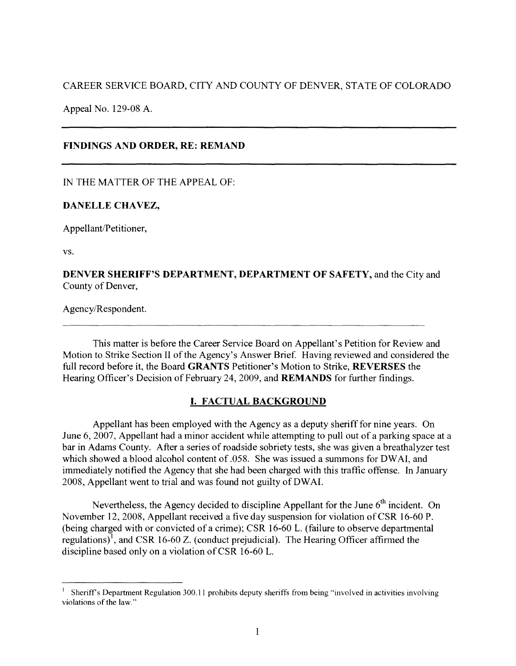CAREER SERVICE BOARD, CITY AND COUNTY OF DENVER, STATE OF COLORADO

Appeal No. 129-08 A.

## **FINDINGS AND ORDER, RE: REMAND**

IN THE MATTER OF THE APPEAL OF:

## **DANELLE CHAVEZ,**

Appellant/Petitioner,

vs.

**DENVER SHERIFF'S DEPARTMENT, DEPARTMENT OF SAFETY,** and the City and County of Denver,

Agency/Respondent.

This matter is before the Career Service Board on Appellant's Petition for Review and Motion to Strike Section II of the Agency's Answer Brief. Having reviewed and considered the full record before it, the Board **GRANTS** Petitioner's Motion to Strike, **REVERSES** the Hearing Officer's Decision of February 24, 2009, and **REMANDS** for further findings.

# **I. FACTUAL BACKGROUND**

Appellant has been employed with the Agency as a deputy sheriff for nine years. On June 6, 2007, Appellant had a minor accident while attempting to pull out of a parking space at a bar in Adams County. After a series of roadside sobriety tests, she was given a breathalyzer test which showed a blood alcohol content of .058. She was issued a summons for DWAI, and immediately notified the Agency that she had been charged with this traffic offense. In January 2008, Appellant went to trial and was found not guilty of DW AI.

Nevertheless, the Agency decided to discipline Appellant for the June  $6<sup>th</sup>$  incident. On November 12, 2008, Appellant received a five day suspension for violation of CSR 16-60 P. (being charged with or convicted of a crime); CSR 16-60 L. (failure to observe departmental regulations)<sup>1</sup>, and CSR 16-60 Z. (conduct prejudicial). The Hearing Officer affirmed the discipline based only on a violation of CSR 16-60 L.

<sup>1</sup>Sheriffs Department Regulation 300.11 prohibits deputy sheriffs from being "involved in activities involving violations of the law."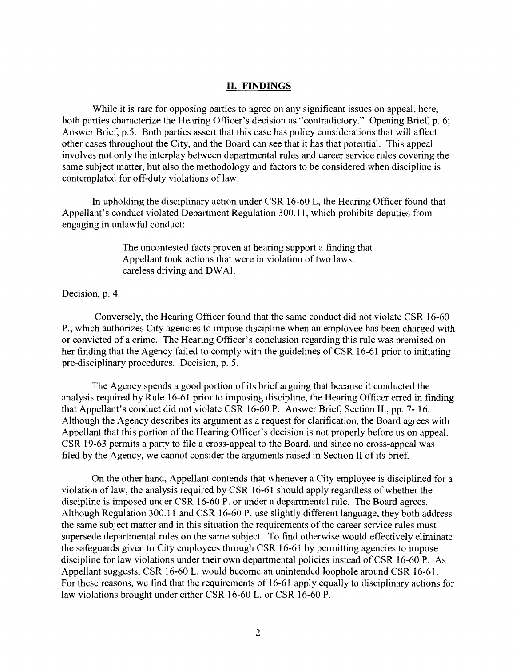### **II. FINDINGS**

While it is rare for opposing parties to agree on any significant issues on appeal, here, both parties characterize the Hearing Officer's decision as "contradictory." Opening Brief, p. 6; Answer Brief, p.5. Both parties assert that this case has policy considerations that will affect other cases throughout the City, and the Board can see that it has that potential. This appeal involves not only the interplay between departmental rules and career service rules covering the same subject matter, but also the methodology and factors to be considered when discipline is contemplated for off-duty violations of law.

In upholding the disciplinary action under CSR 16-60 L, the Hearing Officer found that Appellant's conduct violated Department Regulation 300.11, which prohibits deputies from engaging in unlawful conduct:

> The uncontested facts proven at hearing support a finding that Appellant took actions that were in violation of two laws: careless driving and DW AL

Decision, p. 4.

Conversely, the Hearing Officer found that the same conduct did not violate CSR 16-60 P., which authorizes City agencies to impose discipline when an employee has been charged with or convicted of a crime. The Hearing Officer's conclusion regarding this rule was premised on her finding that the Agency failed to comply with the guidelines of CSR 16-61 prior to initiating pre-disciplinary procedures. Decision, p. 5.

The Agency spends a good portion of its brief arguing that because it conducted the analysis required by Rule 16-61 prior to imposing discipline, the Hearing Officer erred in finding that Appellant's conduct did not violate CSR 16-60 P. Answer Brief, Section IL, pp. 7- 16. Although the Agency describes its argument as a request for clarification, the Board agrees with Appellant that this portion of the Hearing Officer's decision is not properly before us on appeal. CSR 19-63 permits a party to file a cross-appeal to the Board, and since no cross-appeal was filed by the Agency, we cannot consider the arguments raised in Section II of its brief.

On the other hand, Appellant contends that whenever a City employee is disciplined for a violation of law, the analysis required by CSR 16-61 should apply regardless of whether the discipline is imposed under CSR 16-60 P. or under a departmental rule. The Board agrees. Although Regulation 300.11 and CSR 16-60 P. use slightly different language, they both address the same subject matter and in this situation the requirements of the career service rules must supersede departmental rules on the same subject. To find otherwise would effectively eliminate the safeguards given to City employees through CSR 16-61 by permitting agencies to impose discipline for law violations under their own departmental policies instead of CSR 16-60 P. As Appellant suggests, CSR 16-60 L. would become an unintended loophole around CSR 16-61. For these reasons, we find that the requirements of 16-61 apply equally to disciplinary actions for law violations brought under either CSR 16-60 L. or CSR 16-60 P.